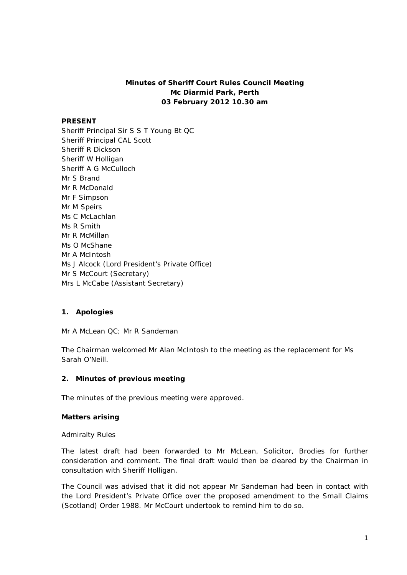## **Minutes of Sheriff Court Rules Council Meeting Mc Diarmid Park, Perth 03 February 2012 10.30 am**

### **PRESENT**

Sheriff Principal Sir S S T Young Bt QC Sheriff Principal CAL Scott Sheriff R Dickson Sheriff W Holligan Sheriff A G McCulloch Mr S Brand Mr R McDonald Mr F Simpson Mr M Speirs Ms C McLachlan Ms R Smith Mr R McMillan Ms O McShane Mr A McIntosh Ms J Alcock (Lord President's Private Office) Mr S McCourt (Secretary) Mrs L McCabe (Assistant Secretary)

## **1. Apologies**

Mr A McLean QC; Mr R Sandeman

The Chairman welcomed Mr Alan McIntosh to the meeting as the replacement for Ms Sarah O'Neill.

### **2. Minutes of previous meeting**

The minutes of the previous meeting were approved.

### **Matters arising**

#### Admiralty Rules

The latest draft had been forwarded to Mr McLean, Solicitor, Brodies for further consideration and comment. The final draft would then be cleared by the Chairman in consultation with Sheriff Holligan.

The Council was advised that it did not appear Mr Sandeman had been in contact with the Lord President's Private Office over the proposed amendment to the Small Claims (Scotland) Order 1988. Mr McCourt undertook to remind him to do so.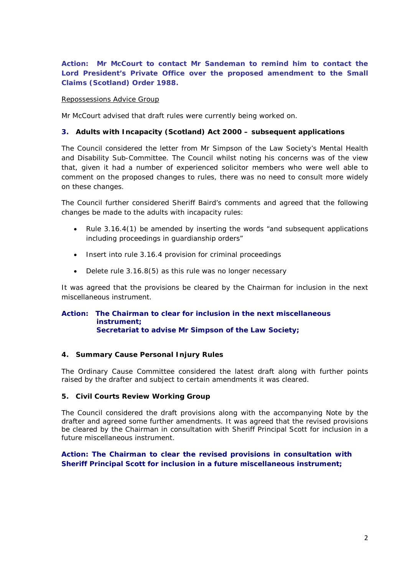**Action: Mr McCourt to contact Mr Sandeman to remind him to contact the Lord President's Private Office over the proposed amendment to the Small Claims (Scotland) Order 1988.**

### Repossessions Advice Group

Mr McCourt advised that draft rules were currently being worked on.

### **3. Adults with Incapacity (Scotland) Act 2000 – subsequent applications**

The Council considered the letter from Mr Simpson of the Law Society's Mental Health and Disability Sub-Committee. The Council whilst noting his concerns was of the view that, given it had a number of experienced solicitor members who were well able to comment on the proposed changes to rules, there was no need to consult more widely on these changes.

The Council further considered Sheriff Baird's comments and agreed that the following changes be made to the adults with incapacity rules:

- Rule 3.16.4(1) be amended by inserting the words "and subsequent applications including proceedings in guardianship orders"
- Insert into rule 3.16.4 provision for criminal proceedings
- Delete rule 3.16.8(5) as this rule was no longer necessary

It was agreed that the provisions be cleared by the Chairman for inclusion in the next miscellaneous instrument.

### **Action: The Chairman to clear for inclusion in the next miscellaneous instrument; Secretariat to advise Mr Simpson of the Law Society;**

### **4. Summary Cause Personal Injury Rules**

The Ordinary Cause Committee considered the latest draft along with further points raised by the drafter and subject to certain amendments it was cleared.

### **5. Civil Courts Review Working Group**

The Council considered the draft provisions along with the accompanying Note by the drafter and agreed some further amendments. It was agreed that the revised provisions be cleared by the Chairman in consultation with Sheriff Principal Scott for inclusion in a future miscellaneous instrument.

## **Action: The Chairman to clear the revised provisions in consultation with Sheriff Principal Scott for inclusion in a future miscellaneous instrument;**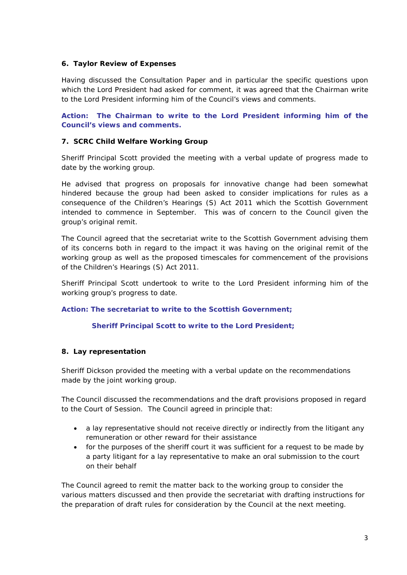### **6. Taylor Review of Expenses**

Having discussed the Consultation Paper and in particular the specific questions upon which the Lord President had asked for comment, it was agreed that the Chairman write to the Lord President informing him of the Council's views and comments.

**Action: The Chairman to write to the Lord President informing him of the Council's views and comments.**

### **7. SCRC Child Welfare Working Group**

Sheriff Principal Scott provided the meeting with a verbal update of progress made to date by the working group.

He advised that progress on proposals for innovative change had been somewhat hindered because the group had been asked to consider implications for rules as a consequence of the Children's Hearings (S) Act 2011 which the Scottish Government intended to commence in September. This was of concern to the Council given the group's original remit.

The Council agreed that the secretariat write to the Scottish Government advising them of its concerns both in regard to the impact it was having on the original remit of the working group as well as the proposed timescales for commencement of the provisions of the Children's Hearings (S) Act 2011.

Sheriff Principal Scott undertook to write to the Lord President informing him of the working group's progress to date.

### **Action: The secretariat to write to the Scottish Government;**

### **Sheriff Principal Scott to write to the Lord President;**

### **8. Lay representation**

Sheriff Dickson provided the meeting with a verbal update on the recommendations made by the joint working group.

The Council discussed the recommendations and the draft provisions proposed in regard to the Court of Session. The Council agreed in principle that:

- a lay representative should not receive directly or indirectly from the litigant any remuneration or other reward for their assistance
- for the purposes of the sheriff court it was sufficient for a request to be made by a party litigant for a lay representative to make an oral submission to the court on their behalf

The Council agreed to remit the matter back to the working group to consider the various matters discussed and then provide the secretariat with drafting instructions for the preparation of draft rules for consideration by the Council at the next meeting.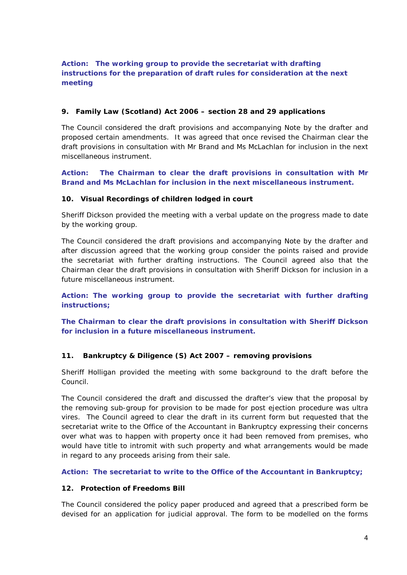# **Action: The working group to provide the secretariat with drafting instructions for the preparation of draft rules for consideration at the next meeting**

## **9. Family Law (Scotland) Act 2006 – section 28 and 29 applications**

The Council considered the draft provisions and accompanying Note by the drafter and proposed certain amendments. It was agreed that once revised the Chairman clear the draft provisions in consultation with Mr Brand and Ms McLachlan for inclusion in the next miscellaneous instrument.

## **Action: The Chairman to clear the draft provisions in consultation with Mr Brand and Ms McLachlan for inclusion in the next miscellaneous instrument.**

## **10. Visual Recordings of children lodged in court**

Sheriff Dickson provided the meeting with a verbal update on the progress made to date by the working group.

The Council considered the draft provisions and accompanying Note by the drafter and after discussion agreed that the working group consider the points raised and provide the secretariat with further drafting instructions. The Council agreed also that the Chairman clear the draft provisions in consultation with Sheriff Dickson for inclusion in a future miscellaneous instrument.

**Action: The working group to provide the secretariat with further drafting instructions;**

**The Chairman to clear the draft provisions in consultation with Sheriff Dickson for inclusion in a future miscellaneous instrument.**

## **11. Bankruptcy & Diligence (S) Act 2007 – removing provisions**

Sheriff Holligan provided the meeting with some background to the draft before the Council.

The Council considered the draft and discussed the drafter's view that the proposal by the removing sub-group for provision to be made for post ejection procedure was *ultra vires*. The Council agreed to clear the draft in its current form but requested that the secretariat write to the Office of the Accountant in Bankruptcy expressing their concerns over what was to happen with property once it had been removed from premises, who would have title to intromit with such property and what arrangements would be made in regard to any proceeds arising from their sale.

**Action: The secretariat to write to the Office of the Accountant in Bankruptcy;**

### **12. Protection of Freedoms Bill**

The Council considered the policy paper produced and agreed that a prescribed form be devised for an application for judicial approval. The form to be modelled on the forms